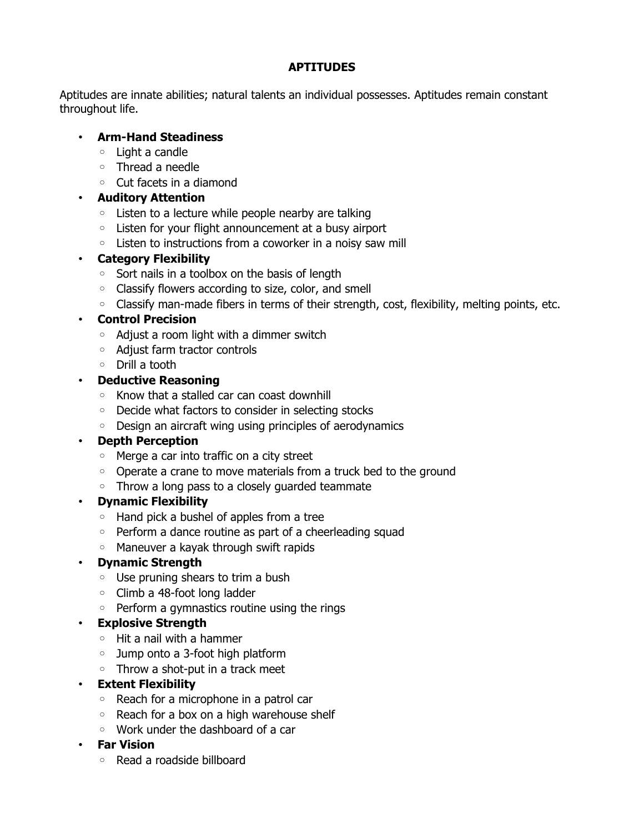### **APTITUDES**

Aptitudes are innate abilities; natural talents an individual possesses. Aptitudes remain constant throughout life.

### • **Arm-Hand Steadiness**

- Light a candle
- Thread a needle
- Cut facets in a diamond

## • **Auditory Attention**

- Listen to a lecture while people nearby are talking
- Listen for your flight announcement at a busy airport
- Listen to instructions from a coworker in a noisy saw mill

## • **Category Flexibility**

- Sort nails in a toolbox on the basis of length
- Classify flowers according to size, color, and smell
- Classify man-made fibers in terms of their strength, cost, flexibility, melting points, etc.

# • **Control Precision**

- Adjust a room light with a dimmer switch
- Adjust farm tractor controls
- Drill a tooth

## • **Deductive Reasoning**

- Know that a stalled car can coast downhill
- Decide what factors to consider in selecting stocks
- Design an aircraft wing using principles of aerodynamics

## • **Depth Perception**

- Merge a car into traffic on a city street
- Operate a crane to move materials from a truck bed to the ground
- Throw a long pass to a closely guarded teammate

## • **Dynamic Flexibility**

- Hand pick a bushel of apples from a tree
- Perform a dance routine as part of a cheerleading squad
- Maneuver a kayak through swift rapids

## • **Dynamic Strength**

- Use pruning shears to trim a bush
- Climb a 48-foot long ladder
- Perform a gymnastics routine using the rings

## • **Explosive Strength**

- Hit a nail with a hammer
- Jump onto a 3-foot high platform
- Throw a shot-put in a track meet

## • **Extent Flexibility**

- Reach for a microphone in a patrol car
- Reach for a box on a high warehouse shelf
- Work under the dashboard of a car

#### • **Far Vision**

◦ Read a roadside billboard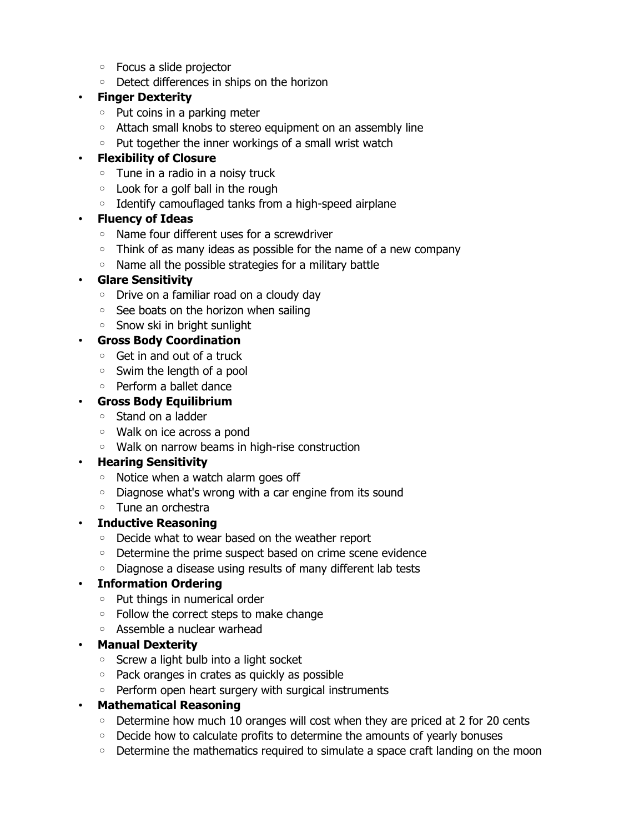- Focus a slide projector
- Detect differences in ships on the horizon

#### • **Finger Dexterity**

- Put coins in a parking meter
- Attach small knobs to stereo equipment on an assembly line
- Put together the inner workings of a small wrist watch

### • **Flexibility of Closure**

- Tune in a radio in a noisy truck
- Look for a golf ball in the rough
- Identify camouflaged tanks from a high-speed airplane

## • **Fluency of Ideas**

- Name four different uses for a screwdriver
- Think of as many ideas as possible for the name of a new company
- Name all the possible strategies for a military battle

## • **Glare Sensitivity**

- Drive on a familiar road on a cloudy day
- See boats on the horizon when sailing
- Snow ski in bright sunlight

## • **Gross Body Coordination**

- Get in and out of a truck
- Swim the length of a pool
- Perform a ballet dance

## • **Gross Body Equilibrium**

- Stand on a ladder
- Walk on ice across a pond
- Walk on narrow beams in high-rise construction

## • **Hearing Sensitivity**

- Notice when a watch alarm goes off
- Diagnose what's wrong with a car engine from its sound
- Tune an orchestra
- **Inductive Reasoning**
	- Decide what to wear based on the weather report
	- Determine the prime suspect based on crime scene evidence
	- Diagnose a disease using results of many different lab tests

## • **Information Ordering**

- Put things in numerical order
- Follow the correct steps to make change
- Assemble a nuclear warhead

#### • **Manual Dexterity**

- Screw a light bulb into a light socket
- Pack oranges in crates as quickly as possible
- Perform open heart surgery with surgical instruments
- **Mathematical Reasoning**
	- Determine how much 10 oranges will cost when they are priced at 2 for 20 cents
	- Decide how to calculate profits to determine the amounts of yearly bonuses
	- Determine the mathematics required to simulate a space craft landing on the moon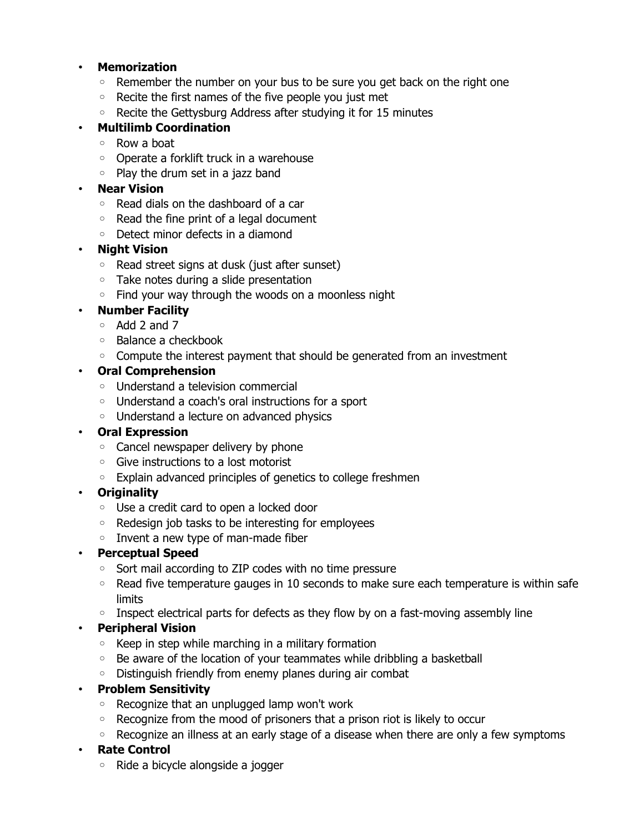### • **Memorization**

- Remember the number on your bus to be sure you get back on the right one
- Recite the first names of the five people you just met
- Recite the Gettysburg Address after studying it for 15 minutes

## • **Multilimb Coordination**

- Row a boat
- Operate a forklift truck in a warehouse
- Play the drum set in a jazz band

### • **Near Vision**

- Read dials on the dashboard of a car
- Read the fine print of a legal document
- Detect minor defects in a diamond

## • **Night Vision**

- Read street signs at dusk (just after sunset)
- Take notes during a slide presentation
- Find your way through the woods on a moonless night

### • **Number Facility**

- Add 2 and 7
- Balance a checkbook
- Compute the interest payment that should be generated from an investment

## • **Oral Comprehension**

- Understand a television commercial
- Understand a coach's oral instructions for a sport
- Understand a lecture on advanced physics

#### • **Oral Expression**

- Cancel newspaper delivery by phone
- Give instructions to a lost motorist
- Explain advanced principles of genetics to college freshmen

## • **Originality**

- Use a credit card to open a locked door
- Redesign job tasks to be interesting for employees
- Invent a new type of man-made fiber

## • **Perceptual Speed**

- Sort mail according to ZIP codes with no time pressure
- Read five temperature gauges in 10 seconds to make sure each temperature is within safe limits
- Inspect electrical parts for defects as they flow by on a fast-moving assembly line

## • **Peripheral Vision**

- Keep in step while marching in a military formation
- Be aware of the location of your teammates while dribbling a basketball
- Distinguish friendly from enemy planes during air combat

## • **Problem Sensitivity**

- Recognize that an unplugged lamp won't work
- Recognize from the mood of prisoners that a prison riot is likely to occur
- Recognize an illness at an early stage of a disease when there are only a few symptoms

## • **Rate Control**

◦ Ride a bicycle alongside a jogger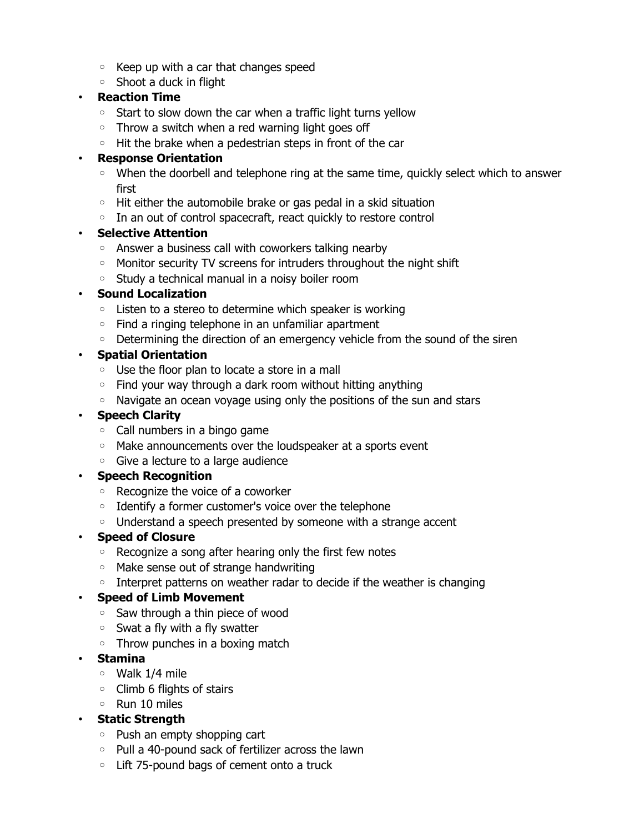- Keep up with a car that changes speed
- Shoot a duck in flight

### • **Reaction Time**

- Start to slow down the car when a traffic light turns yellow
- Throw a switch when a red warning light goes off
- Hit the brake when a pedestrian steps in front of the car

### • **Response Orientation**

- When the doorbell and telephone ring at the same time, quickly select which to answer first
- Hit either the automobile brake or gas pedal in a skid situation
- In an out of control spacecraft, react quickly to restore control

## • **Selective Attention**

- Answer a business call with coworkers talking nearby
- Monitor security TV screens for intruders throughout the night shift
- Study a technical manual in a noisy boiler room

### • **Sound Localization**

- Listen to a stereo to determine which speaker is working
- Find a ringing telephone in an unfamiliar apartment
- Determining the direction of an emergency vehicle from the sound of the siren

## • **Spatial Orientation**

- Use the floor plan to locate a store in a mall
- Find your way through a dark room without hitting anything
- Navigate an ocean voyage using only the positions of the sun and stars

### • **Speech Clarity**

- Call numbers in a bingo game
- Make announcements over the loudspeaker at a sports event
- Give a lecture to a large audience

## • **Speech Recognition**

- Recognize the voice of a coworker
- Identify a former customer's voice over the telephone
- Understand a speech presented by someone with a strange accent

## • **Speed of Closure**

- Recognize a song after hearing only the first few notes
- Make sense out of strange handwriting
- Interpret patterns on weather radar to decide if the weather is changing

## • **Speed of Limb Movement**

- Saw through a thin piece of wood
- Swat a fly with a fly swatter
- Throw punches in a boxing match

## • **Stamina**

- Walk 1/4 mile
- Climb 6 flights of stairs
- Run 10 miles

## • **Static Strength**

- Push an empty shopping cart
- Pull a 40-pound sack of fertilizer across the lawn
- Lift 75-pound bags of cement onto a truck